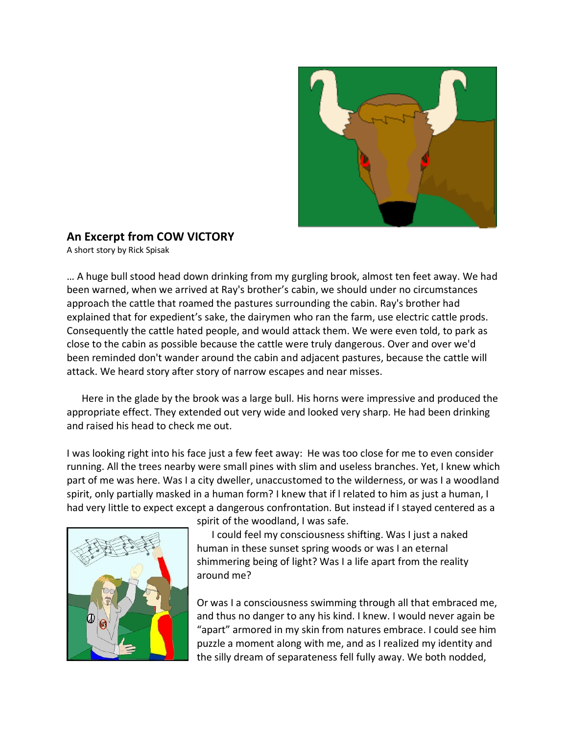

## **An Excerpt from COW VICTORY**

A short story by Rick Spisak

… A huge bull stood head down drinking from my gurgling brook, almost ten feet away. We had been warned, when we arrived at Ray's brother's cabin, we should under no circumstances approach the cattle that roamed the pastures surrounding the cabin. Ray's brother had explained that for expedient's sake, the dairymen who ran the farm, use electric cattle prods. Consequently the cattle hated people, and would attack them. We were even told, to park as close to the cabin as possible because the cattle were truly dangerous. Over and over we'd been reminded don't wander around the cabin and adjacent pastures, because the cattle will attack. We heard story after story of narrow escapes and near misses.

 Here in the glade by the brook was a large bull. His horns were impressive and produced the appropriate effect. They extended out very wide and looked very sharp. He had been drinking and raised his head to check me out.

I was looking right into his face just a few feet away: He was too close for me to even consider running. All the trees nearby were small pines with slim and useless branches. Yet, I knew which part of me was here. Was I a city dweller, unaccustomed to the wilderness, or was I a woodland spirit, only partially masked in a human form? I knew that if l related to him as just a human, I had very little to expect except a dangerous confrontation. But instead if I stayed centered as a



spirit of the woodland, I was safe.

 I could feel my consciousness shifting. Was I just a naked human in these sunset spring woods or was I an eternal shimmering being of light? Was I a life apart from the reality around me?

Or was I a consciousness swimming through all that embraced me, and thus no danger to any his kind. I knew. I would never again be "apart" armored in my skin from natures embrace. I could see him puzzle a moment along with me, and as I realized my identity and the silly dream of separateness fell fully away. We both nodded,